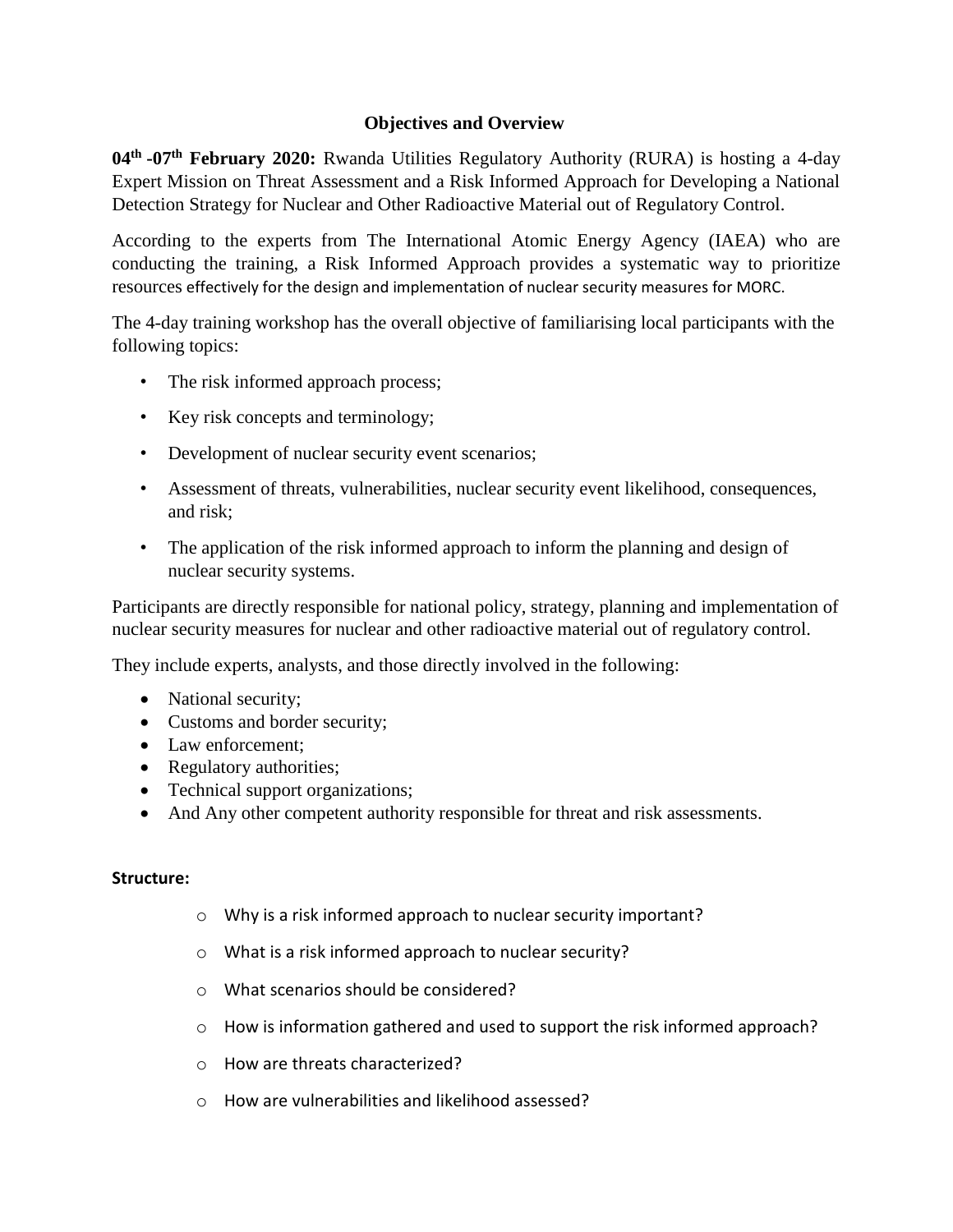## **Objectives and Overview**

**04th -07th February 2020:** Rwanda Utilities Regulatory Authority (RURA) is hosting a 4-day Expert Mission on Threat Assessment and a Risk Informed Approach for Developing a National Detection Strategy for Nuclear and Other Radioactive Material out of Regulatory Control.

According to the experts from The International Atomic Energy Agency (IAEA) who are conducting the training, a Risk Informed Approach provides a systematic way to prioritize resources effectively for the design and implementation of nuclear security measures for MORC.

The 4-day training workshop has the overall objective of familiarising local participants with the following topics:

- The risk informed approach process;
- Key risk concepts and terminology;
- Development of nuclear security event scenarios;
- Assessment of threats, vulnerabilities, nuclear security event likelihood, consequences, and risk;
- The application of the risk informed approach to inform the planning and design of nuclear security systems.

Participants are directly responsible for national policy, strategy, planning and implementation of nuclear security measures for nuclear and other radioactive material out of regulatory control.

They include experts, analysts, and those directly involved in the following:

- National security;
- Customs and border security;
- Law enforcement;
- Regulatory authorities;
- Technical support organizations;
- And Any other competent authority responsible for threat and risk assessments.

## **Structure:**

- o Why is a risk informed approach to nuclear security important?
- o What is a risk informed approach to nuclear security?
- o What scenarios should be considered?
- o How is information gathered and used to support the risk informed approach?
- o How are threats characterized?
- o How are vulnerabilities and likelihood assessed?